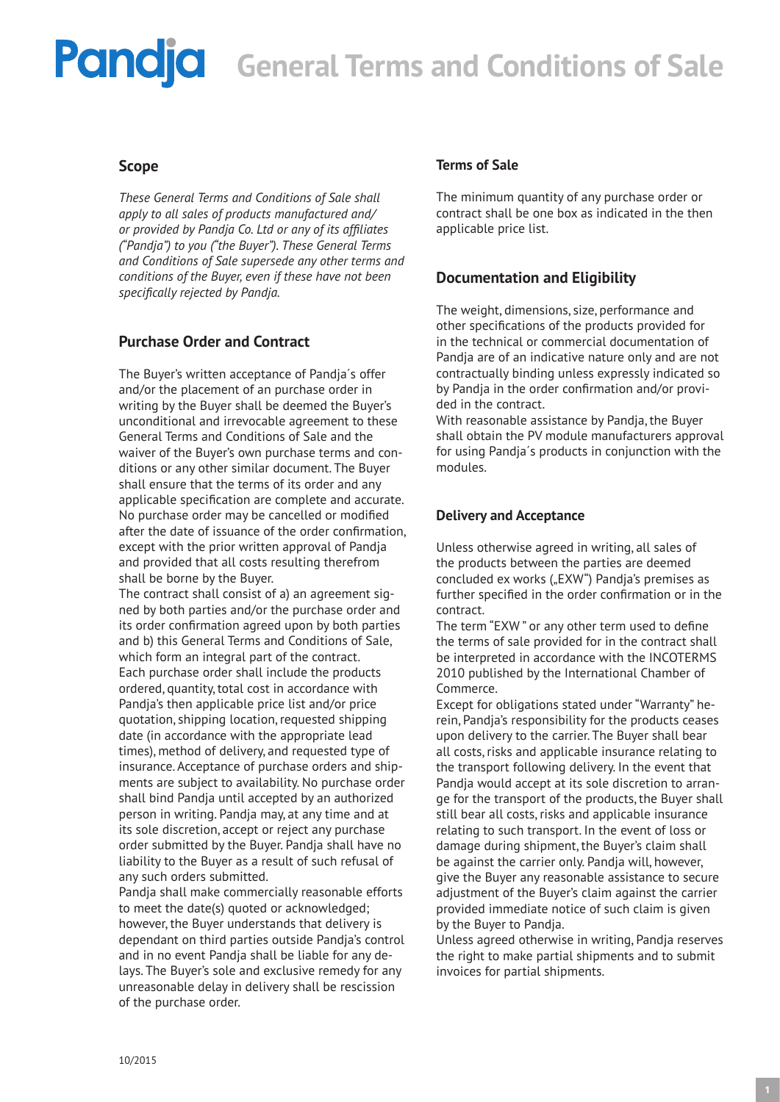### **Pandia** General Terms and Conditions of Sale

### **Scope**

*These General Terms and Conditions of Sale shall apply to all sales of products manufactured and/ or provided by Pandja Co. Ltd or any of its affiliates ("Pandja") to you ("the Buyer"). These General Terms and Conditions of Sale supersede any other terms and conditions of the Buyer, even if these have not been specifically rejected by Pandja.* 

### **Purchase Order and Contract**

The Buyer's written acceptance of Pandja´s offer and/or the placement of an purchase order in writing by the Buyer shall be deemed the Buyer's unconditional and irrevocable agreement to these General Terms and Conditions of Sale and the waiver of the Buyer's own purchase terms and conditions or any other similar document. The Buyer shall ensure that the terms of its order and any applicable specification are complete and accurate. No purchase order may be cancelled or modified after the date of issuance of the order confirmation, except with the prior written approval of Pandja and provided that all costs resulting therefrom shall be borne by the Buyer.

The contract shall consist of a) an agreement signed by both parties and/or the purchase order and its order confirmation agreed upon by both parties and b) this General Terms and Conditions of Sale, which form an integral part of the contract. Each purchase order shall include the products ordered, quantity, total cost in accordance with Pandja's then applicable price list and/or price quotation, shipping location, requested shipping date (in accordance with the appropriate lead times), method of delivery, and requested type of insurance. Acceptance of purchase orders and shipments are subject to availability. No purchase order shall bind Pandja until accepted by an authorized person in writing. Pandja may, at any time and at its sole discretion, accept or reject any purchase order submitted by the Buyer. Pandja shall have no liability to the Buyer as a result of such refusal of any such orders submitted.

Pandja shall make commercially reasonable efforts to meet the date(s) quoted or acknowledged; however, the Buyer understands that delivery is dependant on third parties outside Pandja's control and in no event Pandja shall be liable for any delays. The Buyer's sole and exclusive remedy for any unreasonable delay in delivery shall be rescission of the purchase order.

### **Terms of Sale**

The minimum quantity of any purchase order or contract shall be one box as indicated in the then applicable price list.

### **Documentation and Eligibility**

The weight, dimensions, size, performance and other specifications of the products provided for in the technical or commercial documentation of Pandja are of an indicative nature only and are not contractually binding unless expressly indicated so by Pandja in the order confirmation and/or provided in the contract.

With reasonable assistance by Pandja, the Buyer shall obtain the PV module manufacturers approval for using Pandja´s products in conjunction with the modules.

### **Delivery and Acceptance**

Unless otherwise agreed in writing, all sales of the products between the parties are deemed concluded ex works ("EXW") Pandja's premises as further specified in the order confirmation or in the contract.

The term "EXW " or any other term used to define the terms of sale provided for in the contract shall be interpreted in accordance with the INCOTERMS 2010 published by the International Chamber of Commerce.

Except for obligations stated under "Warranty" herein, Pandja's responsibility for the products ceases upon delivery to the carrier. The Buyer shall bear all costs, risks and applicable insurance relating to the transport following delivery. In the event that Pandja would accept at its sole discretion to arrange for the transport of the products, the Buyer shall still bear all costs, risks and applicable insurance relating to such transport. In the event of loss or damage during shipment, the Buyer's claim shall be against the carrier only. Pandja will, however, give the Buyer any reasonable assistance to secure adjustment of the Buyer's claim against the carrier provided immediate notice of such claim is given by the Buyer to Pandja.

Unless agreed otherwise in writing, Pandja reserves the right to make partial shipments and to submit invoices for partial shipments.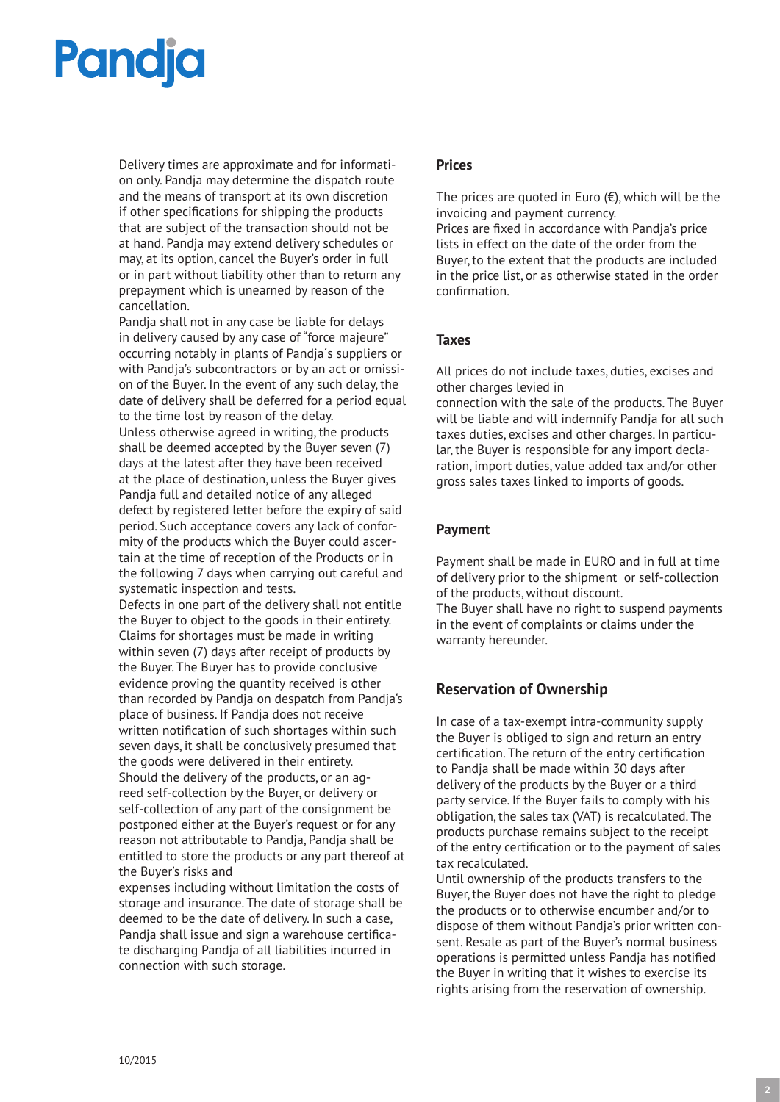# **Pandja**

Delivery times are approximate and for information only. Pandja may determine the dispatch route and the means of transport at its own discretion if other specifications for shipping the products that are subject of the transaction should not be at hand. Pandja may extend delivery schedules or may, at its option, cancel the Buyer's order in full or in part without liability other than to return any prepayment which is unearned by reason of the cancellation.

Pandja shall not in any case be liable for delays in delivery caused by any case of "force majeure" occurring notably in plants of Pandja´s suppliers or with Pandja's subcontractors or by an act or omission of the Buyer. In the event of any such delay, the date of delivery shall be deferred for a period equal to the time lost by reason of the delay. Unless otherwise agreed in writing, the products shall be deemed accepted by the Buyer seven (7) days at the latest after they have been received at the place of destination, unless the Buyer gives Pandja full and detailed notice of any alleged defect by registered letter before the expiry of said period. Such acceptance covers any lack of conformity of the products which the Buyer could ascertain at the time of reception of the Products or in the following 7 days when carrying out careful and systematic inspection and tests.

Defects in one part of the delivery shall not entitle the Buyer to object to the goods in their entirety. Claims for shortages must be made in writing within seven (7) days after receipt of products by the Buyer. The Buyer has to provide conclusive evidence proving the quantity received is other than recorded by Pandja on despatch from Pandja's place of business. If Pandja does not receive written notification of such shortages within such seven days, it shall be conclusively presumed that the goods were delivered in their entirety. Should the delivery of the products, or an agreed self-collection by the Buyer, or delivery or self-collection of any part of the consignment be postponed either at the Buyer's request or for any reason not attributable to Pandja, Pandja shall be entitled to store the products or any part thereof at the Buyer's risks and

expenses including without limitation the costs of storage and insurance. The date of storage shall be deemed to be the date of delivery. In such a case, Pandja shall issue and sign a warehouse certificate discharging Pandja of all liabilities incurred in connection with such storage.

#### **Prices**

The prices are quoted in Euro  $(\epsilon)$ , which will be the invoicing and payment currency.

Prices are fixed in accordance with Pandja's price lists in effect on the date of the order from the Buyer, to the extent that the products are included in the price list, or as otherwise stated in the order confirmation.

#### **Taxes**

All prices do not include taxes, duties, excises and other charges levied in

connection with the sale of the products. The Buyer will be liable and will indemnify Pandja for all such taxes duties, excises and other charges. In particular, the Buyer is responsible for any import declaration, import duties, value added tax and/or other gross sales taxes linked to imports of goods.

### **Payment**

Payment shall be made in EURO and in full at time of delivery prior to the shipment or self-collection of the products, without discount. The Buyer shall have no right to suspend payments in the event of complaints or claims under the warranty hereunder.

### **Reservation of Ownership**

In case of a tax-exempt intra-community supply the Buyer is obliged to sign and return an entry certification. The return of the entry certification to Pandja shall be made within 30 days after delivery of the products by the Buyer or a third party service. If the Buyer fails to comply with his obligation, the sales tax (VAT) is recalculated. The products purchase remains subject to the receipt of the entry certification or to the payment of sales tax recalculated.

Until ownership of the products transfers to the Buyer, the Buyer does not have the right to pledge the products or to otherwise encumber and/or to dispose of them without Pandja's prior written consent. Resale as part of the Buyer's normal business operations is permitted unless Pandja has notified the Buyer in writing that it wishes to exercise its rights arising from the reservation of ownership.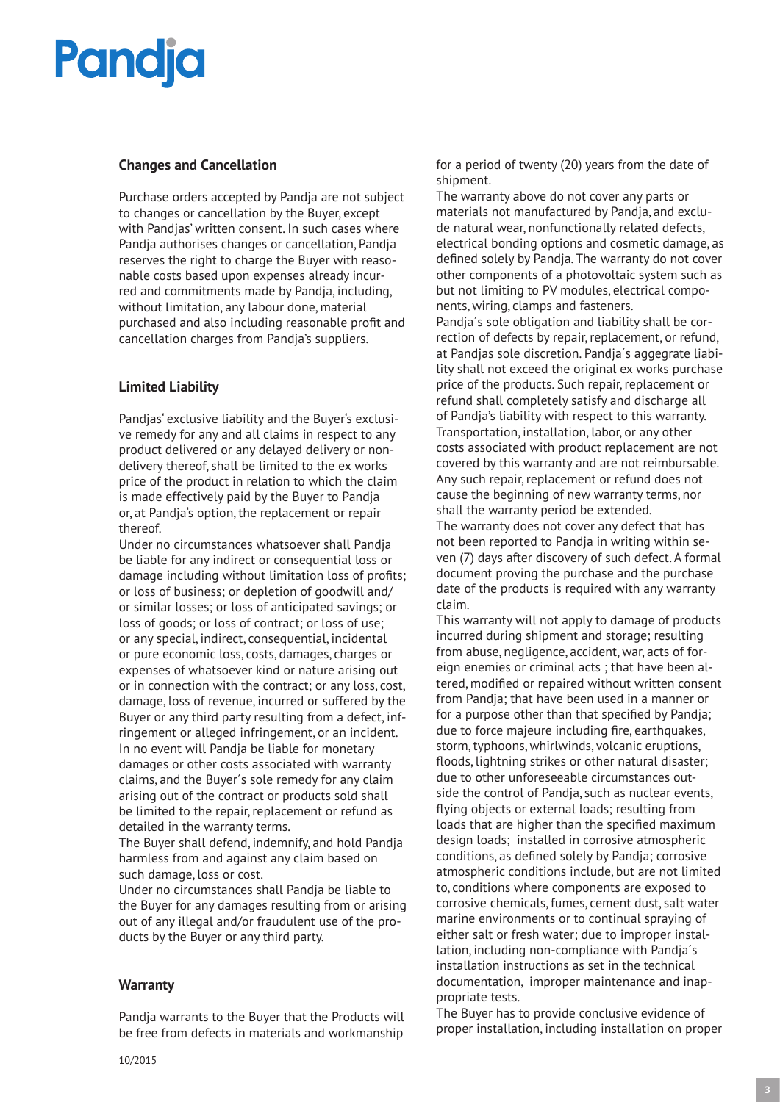# **Pandia**

### **Changes and Cancellation**

Purchase orders accepted by Pandja are not subject to changes or cancellation by the Buyer, except with Pandjas' written consent. In such cases where Pandja authorises changes or cancellation, Pandja reserves the right to charge the Buyer with reasonable costs based upon expenses already incurred and commitments made by Pandja, including, without limitation, any labour done, material purchased and also including reasonable profit and cancellation charges from Pandja's suppliers.

### **Limited Liability**

Pandjas' exclusive liability and the Buyer's exclusive remedy for any and all claims in respect to any product delivered or any delayed delivery or nondelivery thereof, shall be limited to the ex works price of the product in relation to which the claim is made effectively paid by the Buyer to Pandja or, at Pandja's option, the replacement or repair thereof.

Under no circumstances whatsoever shall Pandja be liable for any indirect or consequential loss or damage including without limitation loss of profits; or loss of business; or depletion of goodwill and/ or similar losses; or loss of anticipated savings; or loss of goods; or loss of contract; or loss of use; or any special, indirect, consequential, incidental or pure economic loss, costs, damages, charges or expenses of whatsoever kind or nature arising out or in connection with the contract; or any loss, cost, damage, loss of revenue, incurred or suffered by the Buyer or any third party resulting from a defect, infringement or alleged infringement, or an incident. In no event will Pandja be liable for monetary damages or other costs associated with warranty claims, and the Buyer´s sole remedy for any claim arising out of the contract or products sold shall be limited to the repair, replacement or refund as detailed in the warranty terms.

The Buyer shall defend, indemnify, and hold Pandja harmless from and against any claim based on such damage, loss or cost.

Under no circumstances shall Pandja be liable to the Buyer for any damages resulting from or arising out of any illegal and/or fraudulent use of the products by the Buyer or any third party.

### **Warranty**

Pandja warrants to the Buyer that the Products will be free from defects in materials and workmanship

for a period of twenty (20) years from the date of shipment.

The warranty above do not cover any parts or materials not manufactured by Pandja, and exclude natural wear, nonfunctionally related defects, electrical bonding options and cosmetic damage, as defined solely by Pandja. The warranty do not cover other components of a photovoltaic system such as but not limiting to PV modules, electrical components, wiring, clamps and fasteners. Pandja´s sole obligation and liability shall be correction of defects by repair, replacement, or refund, at Pandjas sole discretion. Pandja´s aggegrate liability shall not exceed the original ex works purchase price of the products. Such repair, replacement or refund shall completely satisfy and discharge all of Pandja's liability with respect to this warranty. Transportation, installation, labor, or any other costs associated with product replacement are not covered by this warranty and are not reimbursable. Any such repair, replacement or refund does not cause the beginning of new warranty terms, nor shall the warranty period be extended. The warranty does not cover any defect that has not been reported to Pandja in writing within seven (7) days after discovery of such defect. A formal document proving the purchase and the purchase date of the products is required with any warranty claim.

This warranty will not apply to damage of products incurred during shipment and storage; resulting from abuse, negligence, accident, war, acts of foreign enemies or criminal acts ; that have been altered, modified or repaired without written consent from Pandja; that have been used in a manner or for a purpose other than that specified by Pandja; due to force majeure including fire, earthquakes, storm, typhoons, whirlwinds, volcanic eruptions, floods, lightning strikes or other natural disaster; due to other unforeseeable circumstances outside the control of Pandja, such as nuclear events, flying objects or external loads; resulting from loads that are higher than the specified maximum design loads; installed in corrosive atmospheric conditions, as defined solely by Pandja; corrosive atmospheric conditions include, but are not limited to, conditions where components are exposed to corrosive chemicals, fumes, cement dust, salt water marine environments or to continual spraying of either salt or fresh water; due to improper installation, including non-compliance with Pandja´s installation instructions as set in the technical documentation, improper maintenance and inappropriate tests.

The Buyer has to provide conclusive evidence of proper installation, including installation on proper